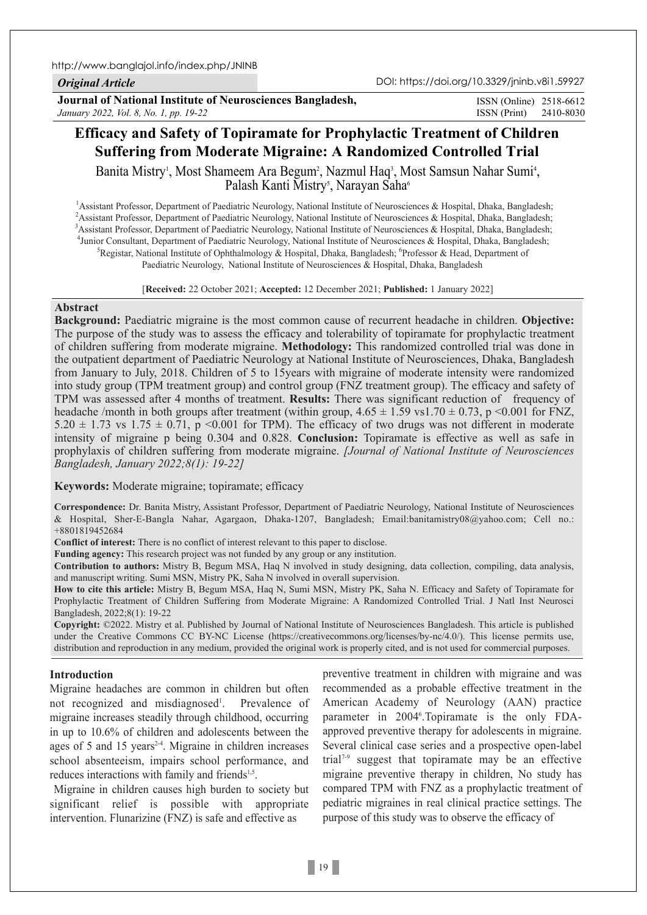http://www.banglajol.info/index.php/JNINB

## *Original Article*

DOI: https://doi.org/10.3329/jninb.v8i1.59927

**Journal of National Institute of Neurosciences Bangladesh,** *January 2022, Vol. 8, No. 1, pp. 19-22*

ISSN (Print) 2410-8030 ISSN (Online) 2518-6612

# **Efficacy and Safety of Topiramate for Prophylactic Treatment of Children Suffering from Moderate Migraine: A Randomized Controlled Trial**

Banita Mistry<sup>i</sup>, Most Shameem Ara Begum<sup>2</sup>, Nazmul Haq<sup>3</sup>, Most Samsun Nahar Sumi<sup>4</sup>, Palash Kanti Mistry<sup>s</sup>, Narayan Saha<sup>6</sup>

<sup>1</sup> Assistant Professor, Department of Paediatric Neurology, National Institute of Neurosciences & Hospital, Dhaka, Bangladesh; <sup>2</sup> Assistant Professor, Department of Paediatric Neurology, National Institute of Neurosciences & Hospital, Dhaka, Bangladesh; 3 Assistant Professor, Department of Paediatric Neurology, National Institute of Neurosciences & Hospital, Dhaka, Bangladesh; <sup>4</sup> Junior Consultant, Department of Paediatric Neurology, National Institute of Neurosciences & Hospital, Dhaka, Bangladesh; <sup>5</sup> Peorital, Dhaka, Bangladesh; <sup>5</sup> Peorital, Dhaka, Bangladesh; <sup>5</sup> Peorital, Dhaka, Banglades Registar, National Institute of Ophthalmology & Hospital, Dhaka, Bangladesh; <sup>6</sup>Professor & Head, Department of Paediatric Neurology, National Institute of Neurosciences & Hospital, Dhaka, Bangladesh

[**Received:** 22 October 2021; **Accepted:** 12 December 2021; **Published:** 1 January 2022]

#### **Abstract**

**Background:** Paediatric migraine is the most common cause of recurrent headache in children. **Objective:** The purpose of the study was to assess the efficacy and tolerability of topiramate for prophylactic treatment of children suffering from moderate migraine. **Methodology:** This randomized controlled trial was done in the outpatient department of Paediatric Neurology at National Institute of Neurosciences, Dhaka, Bangladesh from January to July, 2018. Children of 5 to 15years with migraine of moderate intensity were randomized into study group (TPM treatment group) and control group (FNZ treatment group). The efficacy and safety of TPM was assessed after 4 months of treatment. **Results:** There was significant reduction of frequency of headache /month in both groups after treatment (within group,  $4.65 \pm 1.59$  vs1.70  $\pm$  0.73, p <0.001 for FNZ, 5.20  $\pm$  1.73 vs 1.75  $\pm$  0.71, p <0.001 for TPM). The efficacy of two drugs was not different in moderate intensity of migraine p being 0.304 and 0.828. **Conclusion:** Topiramate is effective as well as safe in prophylaxis of children suffering from moderate migraine. *[Journal of National Institute of Neurosciences Bangladesh, January 2022;8(1): 19-22]*

**Keywords:** Moderate migraine; topiramate; efficacy

**Correspondence:** Dr. Banita Mistry, Assistant Professor, Department of Paediatric Neurology, National Institute of Neurosciences & Hospital, Sher-E-Bangla Nahar, Agargaon, Dhaka-1207, Bangladesh; Email:banitamistry08@yahoo.com; Cell no.: +8801819452684

**Conflict of interest:** There is no conflict of interest relevant to this paper to disclose.

**Funding agency:** This research project was not funded by any group or any institution.

**Contribution to authors:** Mistry B, Begum MSA, Haq N involved in study designing, data collection, compiling, data analysis, and manuscript writing. Sumi MSN, Mistry PK, Saha N involved in overall supervision.

**How to cite this article:** Mistry B, Begum MSA, Haq N, Sumi MSN, Mistry PK, Saha N. Efficacy and Safety of Topiramate for Prophylactic Treatment of Children Suffering from Moderate Migraine: A Randomized Controlled Trial. J Natl Inst Neurosci Bangladesh, 2022;8(1): 19-22

**Copyright:** ©2022. Mistry et al. Published by Journal of National Institute of Neurosciences Bangladesh. This article is published under the Creative Commons CC BY-NC License (https://creativecommons.org/licenses/by-nc/4.0/). This license permits use, distribution and reproduction in any medium, provided the original work is properly cited, and is not used for commercial purposes.

## **Introduction**

Migraine headaches are common in children but often not recognized and misdiagnosed<sup>1</sup>. . Prevalence of migraine increases steadily through childhood, occurring in up to 10.6% of children and adolescents between the ages of 5 and 15 years<sup>24</sup>. Migraine in children increases school absenteeism, impairs school performance, and reduces interactions with family and friends<sup>1,5</sup>.

 Migraine in children causes high burden to society but significant relief is possible with appropriate intervention. Flunarizine (FNZ) is safe and effective as

preventive treatment in children with migraine and was recommended as a probable effective treatment in the American Academy of Neurology (AAN) practice parameter in 2004<sup>6</sup>. Topiramate is the only FDAapproved preventive therapy for adolescents in migraine. Several clinical case series and a prospective open-label trial<sup> $7-9$ </sup> suggest that topiramate may be an effective migraine preventive therapy in children, No study has compared TPM with FNZ as a prophylactic treatment of pediatric migraines in real clinical practice settings. The purpose of this study was to observe the efficacy of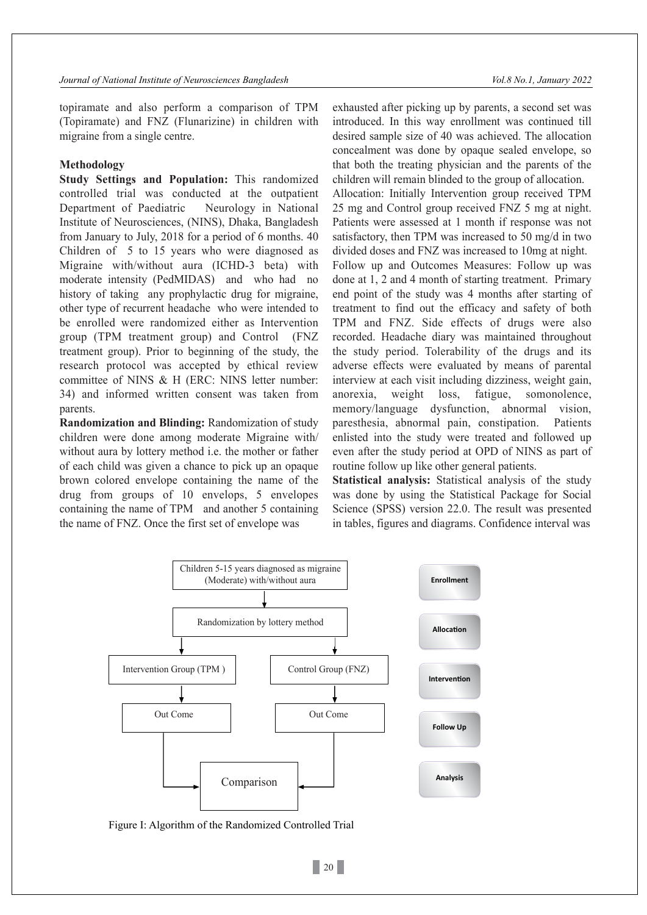topiramate and also perform a comparison of TPM (Topiramate) and FNZ (Flunarizine) in children with migraine from a single centre.

#### **Methodology**

**Study Settings and Population:** This randomized controlled trial was conducted at the outpatient Department of Paediatric Neurology in National Institute of Neurosciences, (NINS), Dhaka, Bangladesh from January to July, 2018 for a period of 6 months. 40 Children of 5 to 15 years who were diagnosed as Migraine with/without aura (ICHD-3 beta) with moderate intensity (PedMIDAS) and who had no history of taking any prophylactic drug for migraine, other type of recurrent headache who were intended to be enrolled were randomized either as Intervention group (TPM treatment group) and Control (FNZ treatment group). Prior to beginning of the study, the research protocol was accepted by ethical review committee of NINS & H (ERC: NINS letter number: 34) and informed written consent was taken from parents.

**Randomization and Blinding:** Randomization of study children were done among moderate Migraine with/ without aura by lottery method i.e. the mother or father of each child was given a chance to pick up an opaque brown colored envelope containing the name of the drug from groups of 10 envelops, 5 envelopes containing the name of TPM and another 5 containing the name of FNZ. Once the first set of envelope was

exhausted after picking up by parents, a second set was introduced. In this way enrollment was continued till desired sample size of 40 was achieved. The allocation concealment was done by opaque sealed envelope, so that both the treating physician and the parents of the children will remain blinded to the group of allocation. Allocation: Initially Intervention group received TPM 25 mg and Control group received FNZ 5 mg at night. Patients were assessed at 1 month if response was not satisfactory, then TPM was increased to 50 mg/d in two divided doses and FNZ was increased to 10mg at night. Follow up and Outcomes Measures: Follow up was done at 1, 2 and 4 month of starting treatment. Primary end point of the study was 4 months after starting of treatment to find out the efficacy and safety of both TPM and FNZ. Side effects of drugs were also recorded. Headache diary was maintained throughout the study period. Tolerability of the drugs and its adverse effects were evaluated by means of parental interview at each visit including dizziness, weight gain, anorexia, weight loss, fatigue, somonolence, memory/language dysfunction, abnormal vision, paresthesia, abnormal pain, constipation. Patients enlisted into the study were treated and followed up even after the study period at OPD of NINS as part of routine follow up like other general patients.

**Statistical analysis:** Statistical analysis of the study was done by using the Statistical Package for Social Science (SPSS) version 22.0. The result was presented in tables, figures and diagrams. Confidence interval was



Figure I: Algorithm of the Randomized Controlled Trial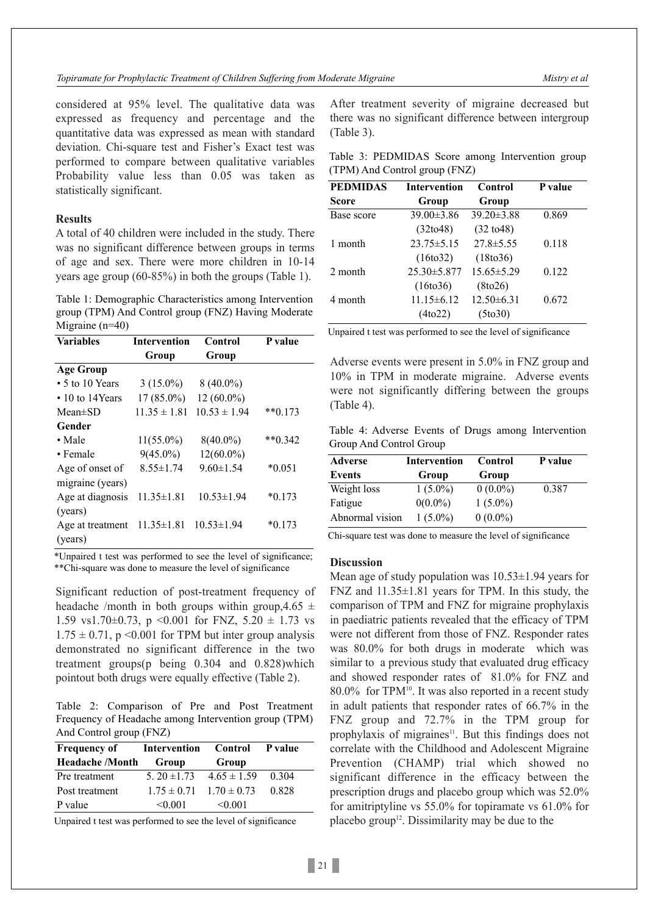considered at 95% level. The qualitative data was expressed as frequency and percentage and the quantitative data was expressed as mean with standard deviation. Chi-square test and Fisher's Exact test was performed to compare between qualitative variables Probability value less than 0.05 was taken as statistically significant.

## **Results**

A total of 40 children were included in the study. There was no significant difference between groups in terms of age and sex. There were more children in 10-14 years age group (60-85%) in both the groups (Table 1).

Table 1: Demographic Characteristics among Intervention group (TPM) And Control group (FNZ) Having Moderate Migraine (n=40)

| <b>Variables</b>       | <b>Intervention</b> | Control          | P value   |
|------------------------|---------------------|------------------|-----------|
|                        | Group               | Group            |           |
| <b>Age Group</b>       |                     |                  |           |
| $\cdot$ 5 to 10 Years  | $3(15.0\%)$         | $8(40.0\%)$      |           |
| $\cdot$ 10 to 14 Years | 17 (85.0%)          | $12(60.0\%)$     |           |
| $Mean \pm SD$          | $11.35 \pm 1.81$    | $10.53 \pm 1.94$ | $**0.173$ |
| Gender                 |                     |                  |           |
| $\bullet$ Male         | $11(55.0\%)$        | $8(40.0\%)$      | $**0.342$ |
| $\bullet$ Female       | $9(45.0\%)$         | $12(60.0\%)$     |           |
| Age of onset of        | $8.55 \pm 1.74$     | $9.60 \pm 1.54$  | $*0.051$  |
| migraine (years)       |                     |                  |           |
| Age at diagnosis       | $11.35 \pm 1.81$    | $10.53 \pm 1.94$ | $*0.173$  |
| (years)                |                     |                  |           |
| Age at treatment       | $11.35 \pm 1.81$    | $10.53 \pm 1.94$ | $*0.173$  |
| (years)                |                     |                  |           |

\*Unpaired t test was performed to see the level of significance; \*\*Chi-square was done to measure the level of significance

Significant reduction of post-treatment frequency of headache /month in both groups within group, 4.65  $\pm$ 1.59 vs1.70 $\pm$ 0.73, p < 0.001 for FNZ, 5.20  $\pm$  1.73 vs  $1.75 \pm 0.71$ , p < 0.001 for TPM but inter group analysis demonstrated no significant difference in the two treatment groups(p being 0.304 and 0.828)which pointout both drugs were equally effective (Table 2).

Table 2: Comparison of Pre and Post Treatment Frequency of Headache among Intervention group (TPM) And Control group (FNZ)

| <b>Frequency of</b>    | Intervention                          | Control      | P value |
|------------------------|---------------------------------------|--------------|---------|
| <b>Headache</b> /Month | Group                                 | Group        |         |
| Pre treatment          | $5.20 \pm 1.73$ $4.65 \pm 1.59$ 0.304 |              |         |
| Post treatment         | $1.75 \pm 0.71$ $1.70 \pm 0.73$       |              | 0.828   |
| P value                | < 0.001                               | $\leq 0.001$ |         |

Unpaired t test was performed to see the level of significance

After treatment severity of migraine decreased but there was no significant difference between intergroup (Table 3).

| Table 3: PEDMIDAS Score among Intervention group |  |  |
|--------------------------------------------------|--|--|
| (TPM) And Control group (FNZ)                    |  |  |

| <b>PEDMIDAS</b> | <b>Intervention</b>   | Control               | P value |
|-----------------|-----------------------|-----------------------|---------|
| Score           | Group                 | Group                 |         |
| Base score      | $39.00 \pm 3.86$      | 39.20±3.88            | 0.869   |
|                 | (32 to 48)            | $(32 \text{ to } 48)$ |         |
| 1 month         | $23.75 \pm 5.15$      | $27.8 \pm 5.55$       | 0.118   |
|                 | (16 <sub>to</sub> 32) | (18 <sub>to</sub> 36) |         |
| 2 month         | $25.30 \pm 5.877$     | $15.65 \pm 5.29$      | 0.122   |
|                 | (16t <sub>0</sub> 36) | (8 to 26)             |         |
| 4 month         | $11.15 \pm 6.12$      | $12.50\pm 6.31$       | 0.672   |
|                 | (4 <sub>to22</sub> )  | (5to30)               |         |

Unpaired t test was performed to see the level of significance

Adverse events were present in 5.0% in FNZ group and 10% in TPM in moderate migraine. Adverse events were not significantly differing between the groups (Table 4).

Table 4: Adverse Events of Drugs among Intervention Group And Control Group

| <b>Adverse</b>  | <b>Intervention</b> | Control    | P value |
|-----------------|---------------------|------------|---------|
| Events          | Group               | Group      |         |
| Weight loss     | $1(5.0\%)$          | $0(0.0\%)$ | 0.387   |
| Fatigue         | $0(0.0\%)$          | $1(5.0\%)$ |         |
| Abnormal vision | $1(5.0\%)$          | $0(0.0\%)$ |         |

Chi-square test was done to measure the level of significance

#### **Discussion**

Mean age of study population was  $10.53\pm1.94$  years for FNZ and  $11.35\pm1.81$  years for TPM. In this study, the comparison of TPM and FNZ for migraine prophylaxis in paediatric patients revealed that the efficacy of TPM were not different from those of FNZ. Responder rates was 80.0% for both drugs in moderate which was similar to a previous study that evaluated drug efficacy and showed responder rates of 81.0% for FNZ and 80.0% for TPM<sup>10</sup>. It was also reported in a recent study in adult patients that responder rates of 66.7% in the FNZ group and 72.7% in the TPM group for prophylaxis of migraines<sup>11</sup>. But this findings does not correlate with the Childhood and Adolescent Migraine Prevention (CHAMP) trial which showed no significant difference in the efficacy between the prescription drugs and placebo group which was 52.0% for amitriptyline vs 55.0% for topiramate vs 61.0% for placebo group<sup>12</sup>. Dissimilarity may be due to the